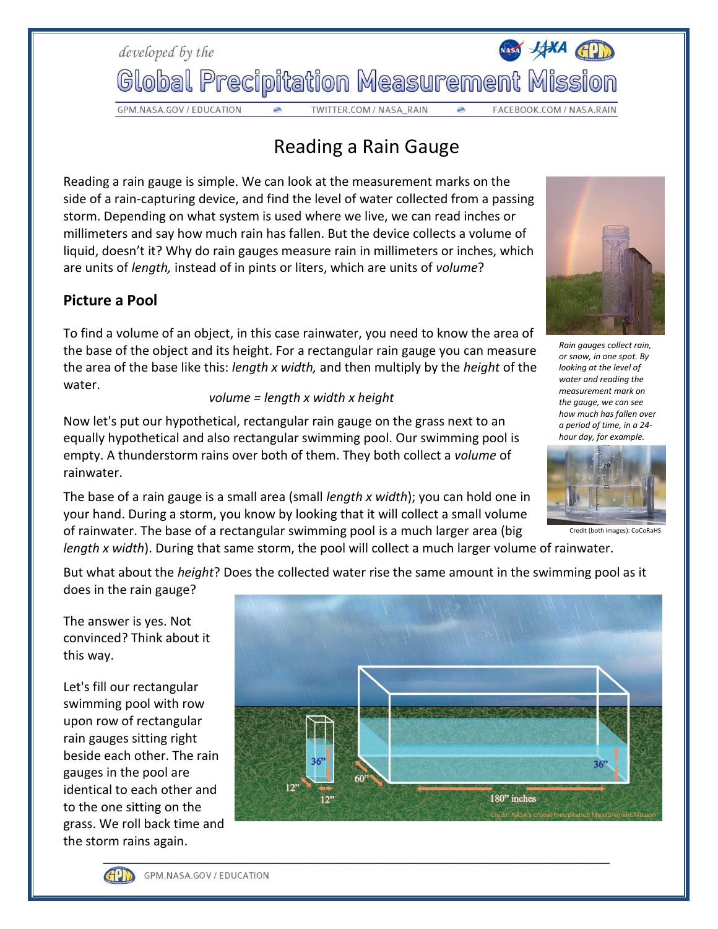

GPM.NASA.GOV / EDUCATION

TWITTER.COM / NASA\_RAIN

## Reading a Rain Gauge

Reading a rain gauge is simple. We can look at the measurement marks on the side of a rain-capturing device, and find the level of water collected from a passing storm. Depending on what system is used where we live, we can read inches or millimeters and say how much rain has fallen. But the device collects a volume of liquid, doesn't it? Why do rain gauges measure rain in millimeters or inches, which are units of *length,* instead of in pints or liters, which are units of *volume*?

## **Picture a Pool**

To find a volume of an object, in this case rainwater, you need to know the area of the base of the object and its height. For a rectangular rain gauge you can measure the area of the base like this: *length x width,* and then multiply by the *height* of the water.

## *volume = length x width x height*

Now let's put our hypothetical, rectangular rain gauge on the grass next to an equally hypothetical and also rectangular swimming pool. Our swimming pool is empty. A thunderstorm rains over both of them. They both collect a *volume* of rainwater.

The base of a rain gauge is a small area (small *length x width*); you can hold one in your hand. During a storm, you know by looking that it will collect a small volume of rainwater. The base of a rectangular swimming pool is a much larger area (big *length x width*). During that same storm, the pool will collect a much larger volume of rainwater.

*Rain gauges collect rain, or snow, in one spot. By looking at the level of water and reading the measurement mark on the gauge, we can see how much has fallen over a period of time, in a 24 hour day, for example.*



Credit (both images): CoCoRaH

But what about the *height*? Does the collected water rise the same amount in the swimming pool as it does in the rain gauge?

The answer is yes. Not convinced? Think about it this way.

Let's fill our rectangular swimming pool with row upon row of rectangular rain gauges sitting right beside each other. The rain gauges in the pool are identical to each other and to the one sitting on the grass. We roll back time and the storm rains again.